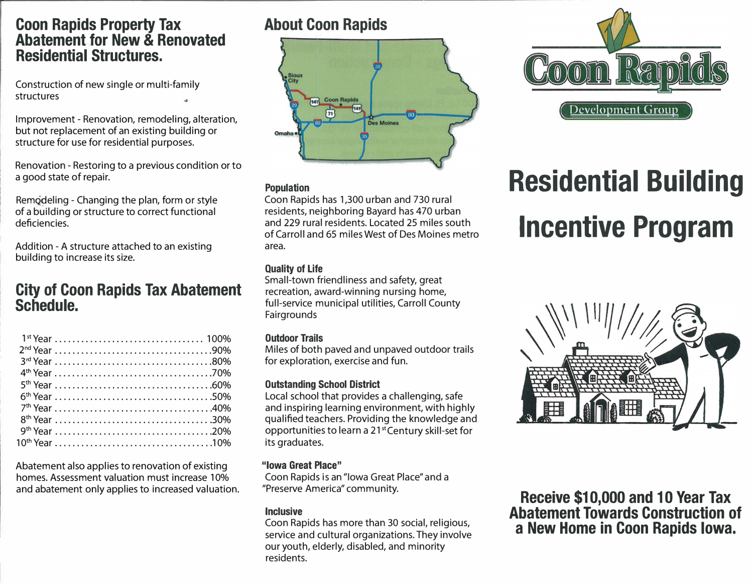### **Coon Rapids Property Tax Abatement for New & Renovated Residential Structures.**

Construction of new single or multi-family structures

Improvement - Renovation, remodeling, alteration, but not replacement of an existing building or structure for use for residential purposes.

Renovation - Restoring to a previous condition or to a good state of repair.

Remodeling - Changing the plan, form or style of a building or structure to correct functional deficiencies.

Addition - A structure attached to an existing building to increase its size.

# **City of Coon Rapids Tax Abatement Schedule.**

Abatement also applies to renovation of existing homes. Assessment valuation must increase 10% and abatement only applies to increased valuation.

# **About Coon Rapids**



Coon Rapids has 1,300 urban and 7 30 rural residents, neighboring Bayard has 470 urban and 229 rural residents. Located 25 miles south of Carroll and 65 miles West of Des Moines metro

Small-town friendliness and safety, great

for exploration, exercise and fun.

**Outstanding School District** 

# Development Group

# **Residential Building Incentive Program**

# recreation, award-winning nursing home, full-service municipal utilities, Carroll County Miles of both paved and unpaved outdoor trails Local school that provides a challenging, safe

#### **"Iowa Great Place"**

its graduates.

Coon Rapids is an "Iowa Great Place" and a "Preserve America" community.

#### **Inclusive**

**Population** 

**Quality of Life** 

Fairgrounds

**Outdoor Trails** 

area.

Coon Rapids has more than 30 social, religious, service and cultural organizations. They involve our youth, elderly, disabled, and minority residents.

and inspiring learning environment, with highly qualified teachers. Providing the knowledge and opportunities to learn a 21**st** Century skill-set for

> **Receive \$10,000 and 10 Year Tax Abatement Towards Construction of a New Home in Coon Rapids Iowa.**